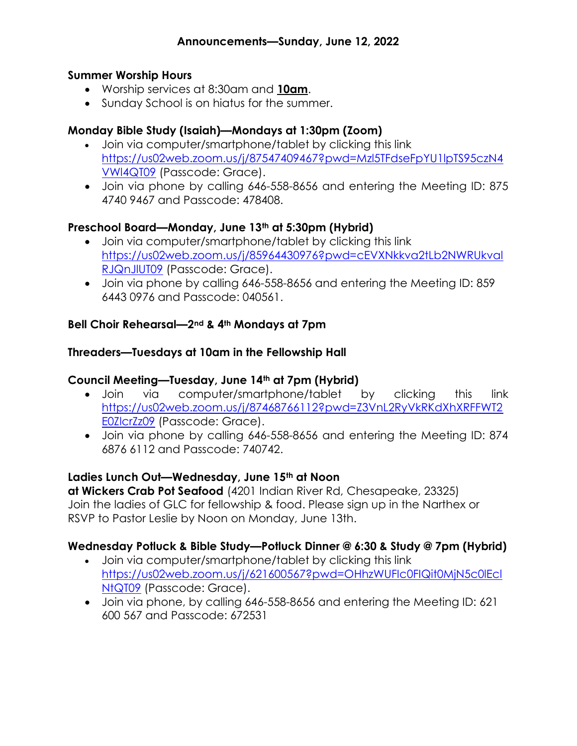#### Summer Worship Hours

- Worship services at 8:30am and 10am.
- Sunday School is on hiatus for the summer.

## Monday Bible Study (Isaiah)—Mondays at 1:30pm (Zoom)

- Join via computer/smartphone/tablet by clicking this link https://us02web.zoom.us/j/87547409467?pwd=Mzl5TFdseFpYU1lpTS95czN4 VWl4QT09 (Passcode: Grace).
- Join via phone by calling 646-558-8656 and entering the Meeting ID: 875 4740 9467 and Passcode: 478408.

### Preschool Board—Monday, June 13<sup>th</sup> at 5:30pm (Hybrid)

- Join via computer/smartphone/tablet by clicking this link https://us02web.zoom.us/j/85964430976?pwd=cEVXNkkva2tLb2NWRUkval RJQnJlUT09 (Passcode: Grace).
- Join via phone by calling 646-558-8656 and entering the Meeting ID: 859 6443 0976 and Passcode: 040561.

#### Bell Choir Rehearsal—2nd & 4th Mondays at 7pm

#### Threaders—Tuesdays at 10am in the Fellowship Hall

#### Council Meeting—Tuesday, June 14th at 7pm (Hybrid)

- Join via computer/smartphone/tablet by clicking this link https://us02web.zoom.us/j/87468766112?pwd=Z3VnL2RyVkRKdXhXRFFWT2 E0ZlcrZz09 (Passcode: Grace).
- Join via phone by calling 646-558-8656 and entering the Meeting ID: 874 6876 6112 and Passcode: 740742.

#### Ladies Lunch Out—Wednesday, June 15th at Noon

at Wickers Crab Pot Seafood (4201 Indian River Rd, Chesapeake, 23325) Join the ladies of GLC for fellowship & food. Please sign up in the Narthex or RSVP to Pastor Leslie by Noon on Monday, June 13th.

#### Wednesday Potluck & Bible Study—Potluck Dinner @ 6:30 & Study @ 7pm (Hybrid)

- Join via computer/smartphone/tablet by clicking this link https://us02web.zoom.us/j/621600567?pwd=OHhzWUFIc0FIQit0MjN5c0lEcl NtQT09 (Passcode: Grace).
- Join via phone, by calling 646-558-8656 and entering the Meeting ID: 621 600 567 and Passcode: 672531